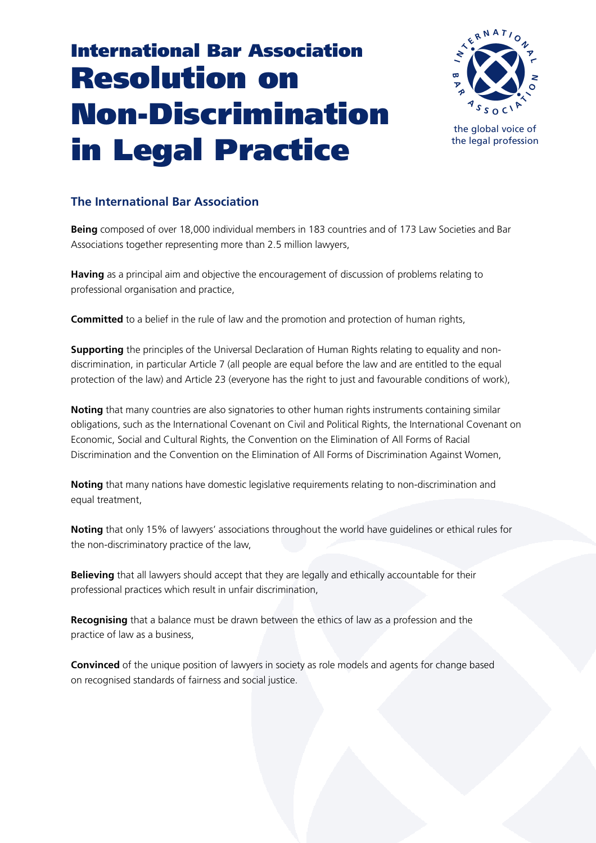## **International Bar Association Resolution on Non-Discrimination in Legal Practice**



the global voice of the legal profession

## **The International Bar Association**

**Being** composed of over 18,000 individual members in 183 countries and of 173 Law Societies and Bar Associations together representing more than 2.5 million lawyers,

**Having** as a principal aim and objective the encouragement of discussion of problems relating to professional organisation and practice,

**Committed** to a belief in the rule of law and the promotion and protection of human rights,

**Supporting** the principles of the Universal Declaration of Human Rights relating to equality and nondiscrimination, in particular Article 7 (all people are equal before the law and are entitled to the equal protection of the law) and Article 23 (everyone has the right to just and favourable conditions of work),

**Noting** that many countries are also signatories to other human rights instruments containing similar obligations, such as the International Covenant on Civil and Political Rights, the International Covenant on Economic, Social and Cultural Rights, the Convention on the Elimination of All Forms of Racial Discrimination and the Convention on the Elimination of All Forms of Discrimination Against Women,

**Noting** that many nations have domestic legislative requirements relating to non-discrimination and equal treatment,

**Noting** that only 15% of lawyers' associations throughout the world have guidelines or ethical rules for the non-discriminatory practice of the law,

**Believing** that all lawyers should accept that they are legally and ethically accountable for their professional practices which result in unfair discrimination,

**Recognising** that a balance must be drawn between the ethics of law as a profession and the practice of law as a business,

**Convinced** of the unique position of lawyers in society as role models and agents for change based on recognised standards of fairness and social justice.